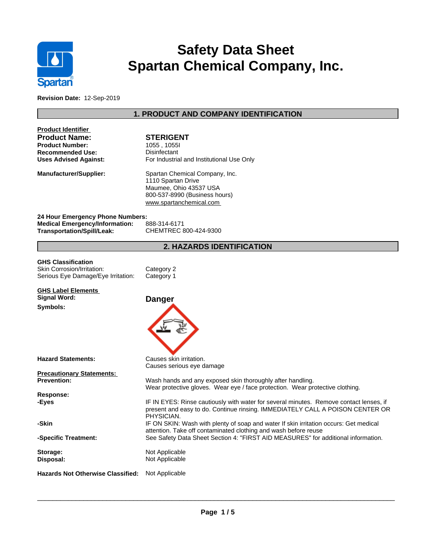

# **Safety Data Sheet Spartan Chemical Company, Inc.**

**Revision Date:** 12-Sep-2019

# **1. PRODUCT AND COMPANY IDENTIFICATION**

| <b>Product Identifier</b><br><b>Product Name:</b><br><b>Product Number:</b><br><b>Recommended Use:</b><br><b>Uses Advised Against:</b> | <b>STERIGENT</b><br>1055, 1055<br>Disinfectant<br>For Industrial and Institutional Use Only                                                                                           |
|----------------------------------------------------------------------------------------------------------------------------------------|---------------------------------------------------------------------------------------------------------------------------------------------------------------------------------------|
| Manufacturer/Supplier:                                                                                                                 | Spartan Chemical Company, Inc.<br>1110 Spartan Drive<br>Maumee, Ohio 43537 USA<br>800-537-8990 (Business hours)<br>www.spartanchemical.com                                            |
| 24 Hour Emergency Phone Numbers:<br><b>Medical Emergency/Information:</b><br>Transportation/Spill/Leak:                                | 888-314-6171<br>CHEMTREC 800-424-9300                                                                                                                                                 |
|                                                                                                                                        | 2. HAZARDS IDENTIFICATION                                                                                                                                                             |
| <b>GHS Classification</b><br>Skin Corrosion/Irritation:<br>Serious Eye Damage/Eye Irritation:                                          | Category 2<br>Category 1                                                                                                                                                              |
| <b>GHS Label Elements</b><br>Signal Word:<br>Symbols:                                                                                  | <b>Danger</b>                                                                                                                                                                         |
| <b>Hazard Statements:</b>                                                                                                              | Causes skin irritation.<br>Causes serious eye damage                                                                                                                                  |
| <b>Precautionary Statements:</b>                                                                                                       |                                                                                                                                                                                       |
| <b>Prevention:</b>                                                                                                                     | Wash hands and any exposed skin thoroughly after handling.<br>Wear protective gloves. Wear eye / face protection. Wear protective clothing.                                           |
| <b>Response:</b><br>-Eves                                                                                                              | IF IN EYES: Rinse cautiously with water for several minutes. Remove contact lenses, if<br>present and easy to do. Continue rinsing. IMMEDIATELY CALL A POISON CENTER OR<br>PHYSICIAN. |
| -Skin                                                                                                                                  | IF ON SKIN: Wash with plenty of soap and water If skin irritation occurs: Get medical<br>attention. Take off contaminated clothing and wash before reuse                              |
| -Specific Treatment:                                                                                                                   | See Safety Data Sheet Section 4: "FIRST AID MEASURES" for additional information.                                                                                                     |
| Storage:<br>Disposal:                                                                                                                  | Not Applicable<br>Not Applicable                                                                                                                                                      |
| <b>Hazards Not Otherwise Classified:</b>                                                                                               | Not Applicable                                                                                                                                                                        |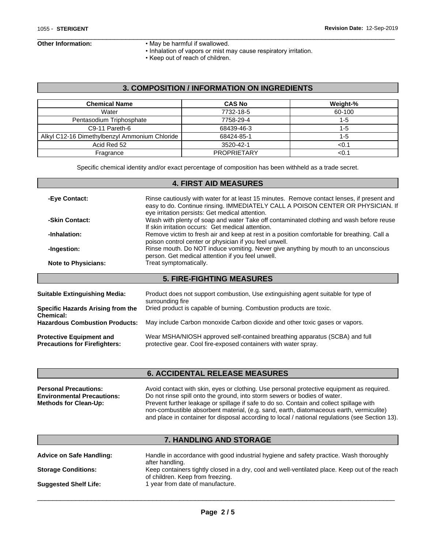Г

- **Other Information:** May be harmful if swallowed.
	- Inhalation of vapors or mist may cause respiratory irritation.

 $\overline{\phantom{a}}$  ,  $\overline{\phantom{a}}$  ,  $\overline{\phantom{a}}$  ,  $\overline{\phantom{a}}$  ,  $\overline{\phantom{a}}$  ,  $\overline{\phantom{a}}$  ,  $\overline{\phantom{a}}$  ,  $\overline{\phantom{a}}$  ,  $\overline{\phantom{a}}$  ,  $\overline{\phantom{a}}$  ,  $\overline{\phantom{a}}$  ,  $\overline{\phantom{a}}$  ,  $\overline{\phantom{a}}$  ,  $\overline{\phantom{a}}$  ,  $\overline{\phantom{a}}$  ,  $\overline{\phantom{a}}$ 

• Keep out of reach of children.

### **3. COMPOSITION / INFORMATION ON INGREDIENTS**

| <b>Chemical Name</b>                          | <b>CAS No</b>      | Weight-% |
|-----------------------------------------------|--------------------|----------|
| Water                                         | 7732-18-5          | 60-100   |
| Pentasodium Triphosphate                      | 7758-29-4          | 1-5      |
| C9-11 Pareth-6                                | 68439-46-3         | 1-5      |
| Alkyl C12-16 Dimethylbenzyl Ammonium Chloride | 68424-85-1         | 1-5      |
| Acid Red 52                                   | 3520-42-1          | <0.1     |
| Fragrance                                     | <b>PROPRIETARY</b> | < 0.1    |

Specific chemical identity and/or exact percentage of composition has been withheld as a trade secret.

#### **4. FIRST AID MEASURES**

| -Eye Contact:                 | Rinse cautiously with water for at least 15 minutes. Remove contact lenses, if present and<br>easy to do. Continue rinsing. IMMEDIATELY CALL A POISON CENTER OR PHYSICIAN. If<br>eye irritation persists: Get medical attention. |
|-------------------------------|----------------------------------------------------------------------------------------------------------------------------------------------------------------------------------------------------------------------------------|
| -Skin Contact:                | Wash with plenty of soap and water Take off contaminated clothing and wash before reuse<br>If skin irritation occurs: Get medical attention.                                                                                     |
| -Inhalation:                  | Remove victim to fresh air and keep at rest in a position comfortable for breathing. Call a<br>poison control center or physician if you feel unwell.                                                                            |
| -Ingestion:                   | Rinse mouth. Do NOT induce vomiting. Never give anything by mouth to an unconscious<br>person. Get medical attention if you feel unwell.                                                                                         |
| <b>Note to Physicians:</b>    | Treat symptomatically.                                                                                                                                                                                                           |
|                               | <b>5. FIRE-FIGHTING MEASURES</b>                                                                                                                                                                                                 |
| Suitable Extinguishing Media: | Product does not support combustion, Use extinguishing agent suitable for type of                                                                                                                                                |

| Specific Hazards Arising from the     | surrounding fire                                                            |
|---------------------------------------|-----------------------------------------------------------------------------|
| <b>Chemical:</b>                      | Dried product is capable of burning. Combustion products are toxic.         |
| <b>Hazardous Combustion Products:</b> | May include Carbon monoxide Carbon dioxide and other toxic gases or vapors. |
| <b>Protective Equipment and</b>       | Wear MSHA/NIOSH approved self-contained breathing apparatus (SCBA) and full |
| <b>Precautions for Firefighters:</b>  | protective gear. Cool fire-exposed containers with water spray.             |

#### **6. ACCIDENTAL RELEASE MEASURES**

| <b>Personal Precautions:</b>      | Avoid contact with skin, eyes or clothing. Use personal protective equipment as required.       |
|-----------------------------------|-------------------------------------------------------------------------------------------------|
| <b>Environmental Precautions:</b> | Do not rinse spill onto the ground, into storm sewers or bodies of water.                       |
| <b>Methods for Clean-Up:</b>      | Prevent further leakage or spillage if safe to do so. Contain and collect spillage with         |
|                                   | non-combustible absorbent material, (e.g. sand, earth, diatomaceous earth, vermiculite)         |
|                                   | and place in container for disposal according to local / national regulations (see Section 13). |

## **7. HANDLING AND STORAGE**

| <b>Advice on Safe Handling:</b> | Handle in accordance with good industrial hygiene and safety practice. Wash thoroughly<br>after handling. |
|---------------------------------|-----------------------------------------------------------------------------------------------------------|
| <b>Storage Conditions:</b>      | Keep containers tightly closed in a dry, cool and well-ventilated place. Keep out of the reach            |
| <b>Suggested Shelf Life:</b>    | of children. Keep from freezing.<br>1 year from date of manufacture.                                      |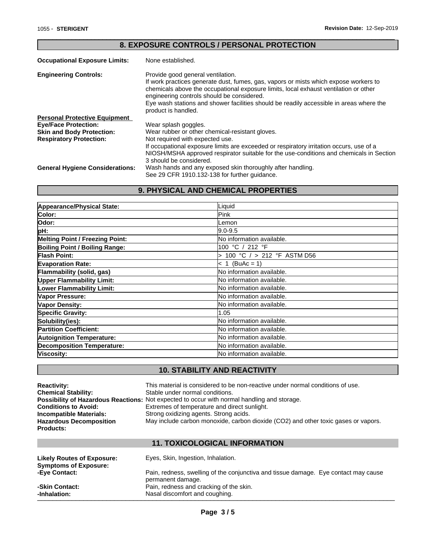|                                        | <u>0. EAL OUURE OUNTRUEUT FERUUNAET RUTEUTIUN</u>                                                                                                                                                                                                                                                                                                                                 |
|----------------------------------------|-----------------------------------------------------------------------------------------------------------------------------------------------------------------------------------------------------------------------------------------------------------------------------------------------------------------------------------------------------------------------------------|
| <b>Occupational Exposure Limits:</b>   | None established.                                                                                                                                                                                                                                                                                                                                                                 |
| <b>Engineering Controls:</b>           | Provide good general ventilation.<br>If work practices generate dust, fumes, gas, vapors or mists which expose workers to<br>chemicals above the occupational exposure limits, local exhaust ventilation or other<br>engineering controls should be considered.<br>Eye wash stations and shower facilities should be readily accessible in areas where the<br>product is handled. |
| <b>Personal Protective Equipment</b>   |                                                                                                                                                                                                                                                                                                                                                                                   |
| <b>Eye/Face Protection:</b>            | Wear splash goggles.                                                                                                                                                                                                                                                                                                                                                              |
| <b>Skin and Body Protection:</b>       | Wear rubber or other chemical-resistant gloves.                                                                                                                                                                                                                                                                                                                                   |
| <b>Respiratory Protection:</b>         | Not required with expected use.                                                                                                                                                                                                                                                                                                                                                   |
|                                        | If occupational exposure limits are exceeded or respiratory irritation occurs, use of a<br>NIOSH/MSHA approved respirator suitable for the use-conditions and chemicals in Section<br>3 should be considered.                                                                                                                                                                     |
| <b>General Hygiene Considerations:</b> | Wash hands and any exposed skin thoroughly after handling.                                                                                                                                                                                                                                                                                                                        |
|                                        | See 29 CFR 1910.132-138 for further quidance.                                                                                                                                                                                                                                                                                                                                     |

**8. EXPOSURE CONTROLS / PERSONAL PROTECTION**

 $\overline{\phantom{a}}$  ,  $\overline{\phantom{a}}$  ,  $\overline{\phantom{a}}$  ,  $\overline{\phantom{a}}$  ,  $\overline{\phantom{a}}$  ,  $\overline{\phantom{a}}$  ,  $\overline{\phantom{a}}$  ,  $\overline{\phantom{a}}$  ,  $\overline{\phantom{a}}$  ,  $\overline{\phantom{a}}$  ,  $\overline{\phantom{a}}$  ,  $\overline{\phantom{a}}$  ,  $\overline{\phantom{a}}$  ,  $\overline{\phantom{a}}$  ,  $\overline{\phantom{a}}$  ,  $\overline{\phantom{a}}$ 

# **9. PHYSICAL AND CHEMICAL PROPERTIES**

| Appearance/Physical State:             | Liquid                           |
|----------------------------------------|----------------------------------|
| Color:                                 | <b>IPink</b>                     |
| Odor:                                  | lLemon                           |
| pH:                                    | $ 9.0 - 9.5 $                    |
| <b>Melting Point / Freezing Point:</b> | No information available.        |
| <b>Boiling Point / Boiling Range:</b>  | 100 °C / 212 °F                  |
| <b>Flash Point:</b>                    | 100 °C / > 212 °F ASTM D56       |
| <b>Evaporation Rate:</b>               | $< 1$ (BuAc = 1)                 |
| Flammability (solid, gas)              | No information available.        |
| <b>Upper Flammability Limit:</b>       | <b>No information available.</b> |
| <b>Lower Flammability Limit:</b>       | No information available.        |
| Vapor Pressure:                        | <b>No information available.</b> |
| <b>Vapor Density:</b>                  | <b>No information available.</b> |
| <b>Specific Gravity:</b>               | 1.05                             |
| Solubility(ies):                       | <b>No information available.</b> |
| <b>Partition Coefficient:</b>          | No information available.        |
| <b>Autoignition Temperature:</b>       | No information available.        |
| <b>Decomposition Temperature:</b>      | <b>No information available.</b> |
| Viscosity:                             | <b>No information available.</b> |

# **10. STABILITY AND REACTIVITY**

| <b>Reactivity:</b>             | This material is considered to be non-reactive under normal conditions of use.                     |
|--------------------------------|----------------------------------------------------------------------------------------------------|
| <b>Chemical Stability:</b>     | Stable under normal conditions.                                                                    |
|                                | <b>Possibility of Hazardous Reactions:</b> Not expected to occur with normal handling and storage. |
| <b>Conditions to Avoid:</b>    | Extremes of temperature and direct sunlight.                                                       |
| Incompatible Materials:        | Strong oxidizing agents. Strong acids.                                                             |
| <b>Hazardous Decomposition</b> | May include carbon monoxide, carbon dioxide (CO2) and other toxic gases or vapors.                 |
| <b>Products:</b>               |                                                                                                    |
|                                |                                                                                                    |

#### **11. TOXICOLOGICAL INFORMATION**

| Likely Routes of Exposure:<br><b>Symptoms of Exposure:</b> | Eyes, Skin, Ingestion, Inhalation.                                                                       |
|------------------------------------------------------------|----------------------------------------------------------------------------------------------------------|
| -Eye Contact:                                              | Pain, redness, swelling of the conjunctiva and tissue damage. Eye contact may cause<br>permanent damage. |
| -Skin Contact:                                             | Pain, redness and cracking of the skin.                                                                  |
| -Inhalation:                                               | Nasal discomfort and coughing.                                                                           |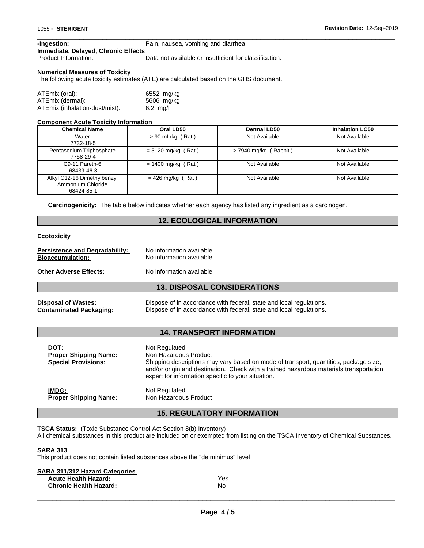| -Ingestion:                         | Pain, nausea, vomiting and diarrhea. |
|-------------------------------------|--------------------------------------|
| Immediate, Delayed, Chronic Effects |                                      |

Product Information: Data not available or insufficient for classification.

 $\overline{\phantom{a}}$  ,  $\overline{\phantom{a}}$  ,  $\overline{\phantom{a}}$  ,  $\overline{\phantom{a}}$  ,  $\overline{\phantom{a}}$  ,  $\overline{\phantom{a}}$  ,  $\overline{\phantom{a}}$  ,  $\overline{\phantom{a}}$  ,  $\overline{\phantom{a}}$  ,  $\overline{\phantom{a}}$  ,  $\overline{\phantom{a}}$  ,  $\overline{\phantom{a}}$  ,  $\overline{\phantom{a}}$  ,  $\overline{\phantom{a}}$  ,  $\overline{\phantom{a}}$  ,  $\overline{\phantom{a}}$ 

#### **Numerical Measures of Toxicity**

The following acute toxicity estimates (ATE) are calculated based on the GHS document.

| ATEmix (oral):                 | 6552 mg/kg         |
|--------------------------------|--------------------|
| ATEmix (dermal):               | 5606 mg/kg         |
| ATEmix (inhalation-dust/mist): | $6.2 \text{ mq/l}$ |

#### **Component Acute Toxicity Information**

| <b>Chemical Name</b>                                           | Oral LD50            | <b>Dermal LD50</b>      | <b>Inhalation LC50</b> |
|----------------------------------------------------------------|----------------------|-------------------------|------------------------|
| Water<br>7732-18-5                                             | $> 90$ mL/kg (Rat)   | Not Available           | Not Available          |
| Pentasodium Triphosphate<br>7758-29-4                          | $= 3120$ mg/kg (Rat) | $>$ 7940 mg/kg (Rabbit) | Not Available          |
| C9-11 Pareth-6<br>68439-46-3                                   | $= 1400$ mg/kg (Rat) | Not Available           | Not Available          |
| Alkyl C12-16 Dimethylbenzyl<br>Ammonium Chloride<br>68424-85-1 | $= 426$ mg/kg (Rat)  | Not Available           | Not Available          |

**Carcinogenicity:** The table below indicates whether each agency has listed any ingredient as a carcinogen.

#### **12. ECOLOGICAL INFORMATION**

#### **Ecotoxicity**

| <b>Persistence and Degradability:</b> | No information available. |
|---------------------------------------|---------------------------|
| <b>Bioaccumulation:</b>               | No information available. |
| <b>Other Adverse Effects:</b>         | No information available. |

#### **13. DISPOSAL CONSIDERATIONS**

| <b>Disposal of Wastes:</b> | Dispose of in accordance with federal, state and local regulations. |
|----------------------------|---------------------------------------------------------------------|
| Contaminated Packaging:    | Dispose of in accordance with federal, state and local regulations. |

#### **14. TRANSPORT INFORMATION**

| DOT:<br><b>Proper Shipping Name:</b><br><b>Special Provisions:</b> | Not Regulated<br>Non Hazardous Product<br>Shipping descriptions may vary based on mode of transport, quantities, package size,<br>and/or origin and destination. Check with a trained hazardous materials transportation<br>expert for information specific to your situation. |
|--------------------------------------------------------------------|--------------------------------------------------------------------------------------------------------------------------------------------------------------------------------------------------------------------------------------------------------------------------------|
| IMDG:                                                              | Not Regulated                                                                                                                                                                                                                                                                  |
| <b>Proper Shipping Name:</b>                                       | Non Hazardous Product                                                                                                                                                                                                                                                          |

#### **15. REGULATORY INFORMATION**

**TSCA Status:** (Toxic Substance Control Act Section 8(b) Inventory)

All chemical substances in this product are included on or exempted from listing on the TSCA Inventory of Chemical Substances.

#### **SARA 313**

This product does not contain listed substances above the "de minimus" level

| Yes. |
|------|
| No   |
|      |